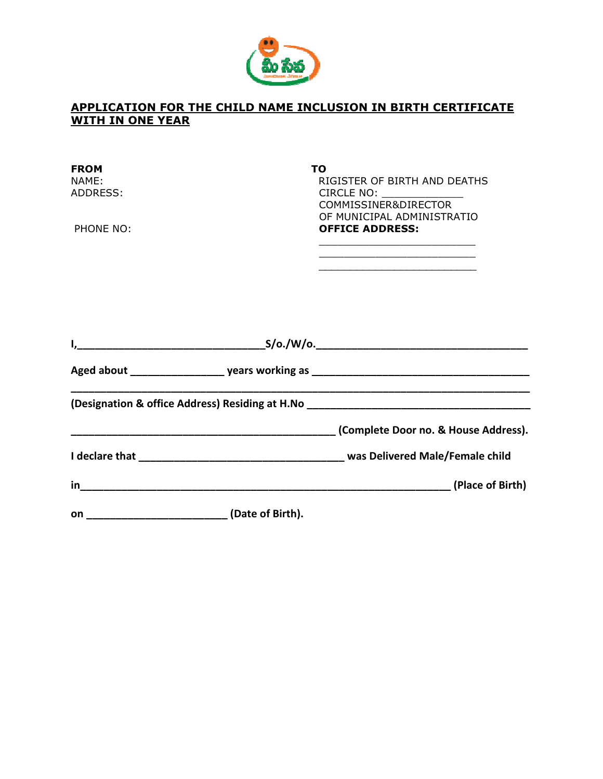

## APPLICATION FOR THE CHILD NAME INCLUSION IN BIRTH CERTIFICATE WITH IN ONE YEAR

| <b>FROM</b><br>NAME:<br>ADDRESS:<br>PHONE NO: |                  | ΤO<br>RIGISTER OF BIRTH AND DEATHS<br>CIRCLE NO: ______________<br>COMMISSINER&DIRECTOR<br>OF MUNICIPAL ADMINISTRATIO<br><b>OFFICE ADDRESS:</b> |
|-----------------------------------------------|------------------|-------------------------------------------------------------------------------------------------------------------------------------------------|
| I,                                            |                  |                                                                                                                                                 |
|                                               |                  |                                                                                                                                                 |
|                                               |                  |                                                                                                                                                 |
|                                               |                  |                                                                                                                                                 |
|                                               |                  |                                                                                                                                                 |
|                                               |                  |                                                                                                                                                 |
| <b>on</b>                                     | (Date of Birth). |                                                                                                                                                 |